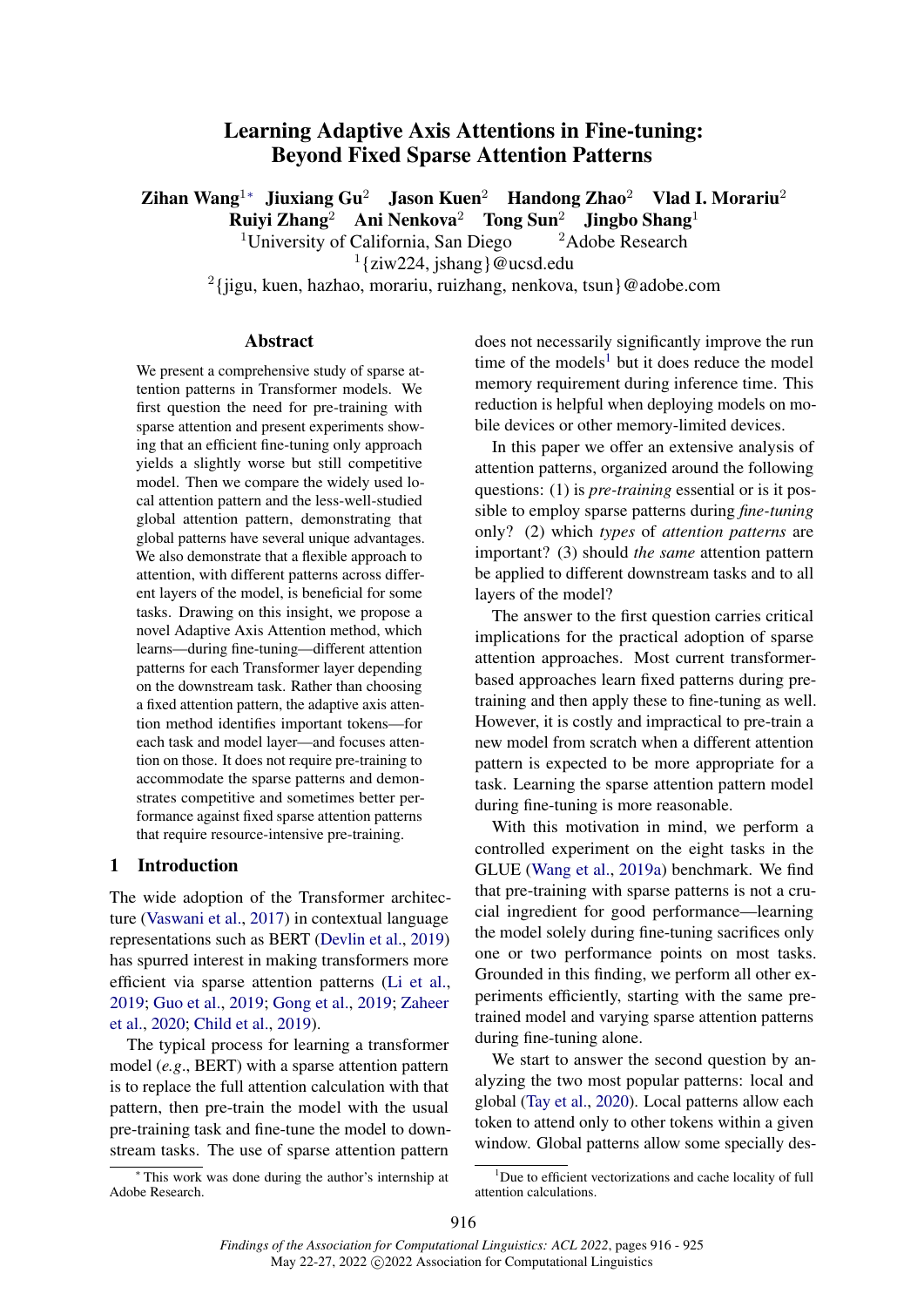# Learning Adaptive Axis Attentions in Fine-tuning: Beyond Fixed Sparse Attention Patterns

<span id="page-0-0"></span>Zihan Wang<sup>1</sup>\* Jiuxiang Gu<sup>2</sup> Jason Kuen<sup>2</sup> Handong Zhao<sup>2</sup> Vlad I. Morariu<sup>2</sup> Ruiyi Zhang<sup>2</sup> Ani Nenkova<sup>2</sup> Tong Sun<sup>2</sup> Jingbo Shang<sup>1</sup>

<sup>1</sup>University of California, San Diego  $\frac{2 \text{ Adobe Research}}{2}$ 

1 {ziw224, jshang}@ucsd.edu

2 {jigu, kuen, hazhao, morariu, ruizhang, nenkova, tsun}@adobe.com

#### Abstract

We present a comprehensive study of sparse attention patterns in Transformer models. We first question the need for pre-training with sparse attention and present experiments showing that an efficient fine-tuning only approach yields a slightly worse but still competitive model. Then we compare the widely used local attention pattern and the less-well-studied global attention pattern, demonstrating that global patterns have several unique advantages. We also demonstrate that a flexible approach to attention, with different patterns across different layers of the model, is beneficial for some tasks. Drawing on this insight, we propose a novel Adaptive Axis Attention method, which learns—during fine-tuning—different attention patterns for each Transformer layer depending on the downstream task. Rather than choosing a fixed attention pattern, the adaptive axis attention method identifies important tokens—for each task and model layer—and focuses attention on those. It does not require pre-training to accommodate the sparse patterns and demonstrates competitive and sometimes better performance against fixed sparse attention patterns that require resource-intensive pre-training.

#### 1 Introduction

The wide adoption of the Transformer architecture [\(Vaswani et al.,](#page-9-0) [2017\)](#page-9-0) in contextual language representations such as BERT [\(Devlin et al.,](#page-9-1) [2019\)](#page-9-1) has spurred interest in making transformers more efficient via sparse attention patterns [\(Li et al.,](#page-9-2) [2019;](#page-9-2) [Guo et al.,](#page-9-3) [2019;](#page-9-3) [Gong et al.,](#page-9-4) [2019;](#page-9-4) [Zaheer](#page-9-5) [et al.,](#page-9-5) [2020;](#page-9-5) [Child et al.,](#page-9-6) [2019\)](#page-9-6).

The typical process for learning a transformer model (*e.g*., BERT) with a sparse attention pattern is to replace the full attention calculation with that pattern, then pre-train the model with the usual pre-training task and fine-tune the model to downstream tasks. The use of sparse attention pattern

<sup>∗</sup> This work was done during the author's internship at Adobe Research.

does not necessarily significantly improve the run time of the models<sup>[1](#page-0-1)</sup> but it does reduce the model memory requirement during inference time. This reduction is helpful when deploying models on mobile devices or other memory-limited devices.

In this paper we offer an extensive analysis of attention patterns, organized around the following questions: (1) is *pre-training* essential or is it possible to employ sparse patterns during *fine-tuning* only? (2) which *types* of *attention patterns* are important? (3) should *the same* attention pattern be applied to different downstream tasks and to all layers of the model?

The answer to the first question carries critical implications for the practical adoption of sparse attention approaches. Most current transformerbased approaches learn fixed patterns during pretraining and then apply these to fine-tuning as well. However, it is costly and impractical to pre-train a new model from scratch when a different attention pattern is expected to be more appropriate for a task. Learning the sparse attention pattern model during fine-tuning is more reasonable.

With this motivation in mind, we perform a controlled experiment on the eight tasks in the GLUE [\(Wang et al.,](#page-9-7) [2019a\)](#page-9-7) benchmark. We find that pre-training with sparse patterns is not a crucial ingredient for good performance—learning the model solely during fine-tuning sacrifices only one or two performance points on most tasks. Grounded in this finding, we perform all other experiments efficiently, starting with the same pretrained model and varying sparse attention patterns during fine-tuning alone.

We start to answer the second question by analyzing the two most popular patterns: local and global [\(Tay et al.,](#page-9-8) [2020\)](#page-9-8). Local patterns allow each token to attend only to other tokens within a given window. Global patterns allow some specially des-

<span id="page-0-1"></span><sup>&</sup>lt;sup>1</sup>Due to efficient vectorizations and cache locality of full attention calculations.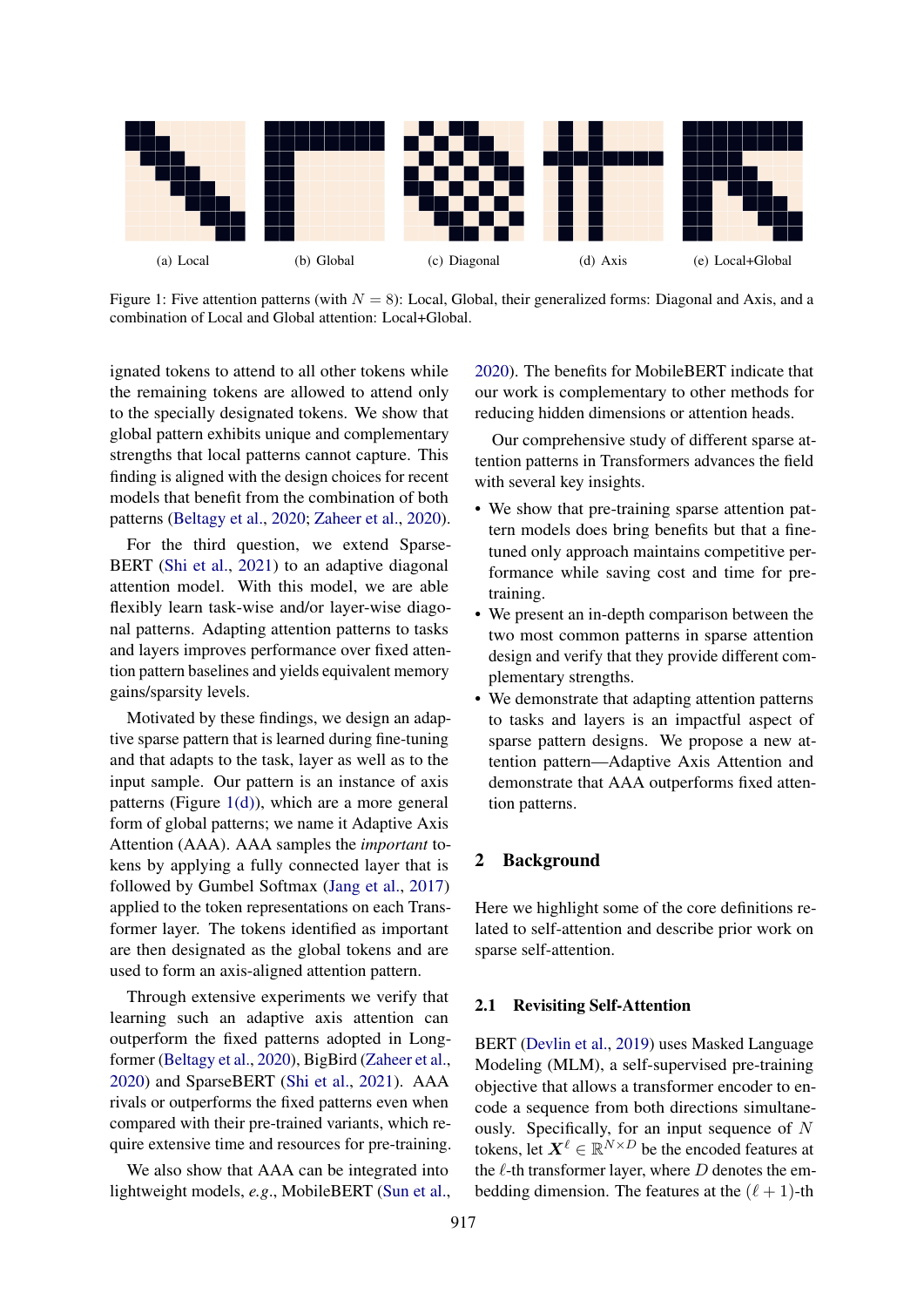<span id="page-1-1"></span>

Figure 1: Five attention patterns (with  $N = 8$ ): Local, Global, their generalized forms: Diagonal and Axis, and a combination of Local and Global attention: Local+Global.

ignated tokens to attend to all other tokens while the remaining tokens are allowed to attend only to the specially designated tokens. We show that global pattern exhibits unique and complementary strengths that local patterns cannot capture. This finding is aligned with the design choices for recent models that benefit from the combination of both patterns [\(Beltagy et al.,](#page-9-9) [2020;](#page-9-9) [Zaheer et al.,](#page-9-5) [2020\)](#page-9-5).

For the third question, we extend Sparse-BERT [\(Shi et al.,](#page-9-10) [2021\)](#page-9-10) to an adaptive diagonal attention model. With this model, we are able flexibly learn task-wise and/or layer-wise diagonal patterns. Adapting attention patterns to tasks and layers improves performance over fixed attention pattern baselines and yields equivalent memory gains/sparsity levels.

Motivated by these findings, we design an adaptive sparse pattern that is learned during fine-tuning and that adapts to the task, layer as well as to the input sample. Our pattern is an instance of axis patterns (Figure  $1(d)$ ), which are a more general form of global patterns; we name it Adaptive Axis Attention (AAA). AAA samples the *important* tokens by applying a fully connected layer that is followed by Gumbel Softmax [\(Jang et al.,](#page-9-11) [2017\)](#page-9-11) applied to the token representations on each Transformer layer. The tokens identified as important are then designated as the global tokens and are used to form an axis-aligned attention pattern.

Through extensive experiments we verify that learning such an adaptive axis attention can outperform the fixed patterns adopted in Longformer [\(Beltagy et al.,](#page-9-9) [2020\)](#page-9-9), BigBird [\(Zaheer et al.,](#page-9-5) [2020\)](#page-9-5) and SparseBERT [\(Shi et al.,](#page-9-10) [2021\)](#page-9-10). AAA rivals or outperforms the fixed patterns even when compared with their pre-trained variants, which require extensive time and resources for pre-training.

We also show that AAA can be integrated into lightweight models, *e.g*., MobileBERT [\(Sun et al.,](#page-9-12) <span id="page-1-0"></span>[2020\)](#page-9-12). The benefits for MobileBERT indicate that our work is complementary to other methods for reducing hidden dimensions or attention heads.

Our comprehensive study of different sparse attention patterns in Transformers advances the field with several key insights.

- We show that pre-training sparse attention pattern models does bring benefits but that a finetuned only approach maintains competitive performance while saving cost and time for pretraining.
- We present an in-depth comparison between the two most common patterns in sparse attention design and verify that they provide different complementary strengths.
- We demonstrate that adapting attention patterns to tasks and layers is an impactful aspect of sparse pattern designs. We propose a new attention pattern—Adaptive Axis Attention and demonstrate that AAA outperforms fixed attention patterns.

### 2 Background

Here we highlight some of the core definitions related to self-attention and describe prior work on sparse self-attention.

#### 2.1 Revisiting Self-Attention

BERT [\(Devlin et al.,](#page-9-1) [2019\)](#page-9-1) uses Masked Language Modeling (MLM), a self-supervised pre-training objective that allows a transformer encoder to encode a sequence from both directions simultaneously. Specifically, for an input sequence of N tokens, let  $X^{\ell} \in \mathbb{R}^{N \times D}$  be the encoded features at the  $\ell$ -th transformer layer, where  $D$  denotes the embedding dimension. The features at the  $(\ell + 1)$ -th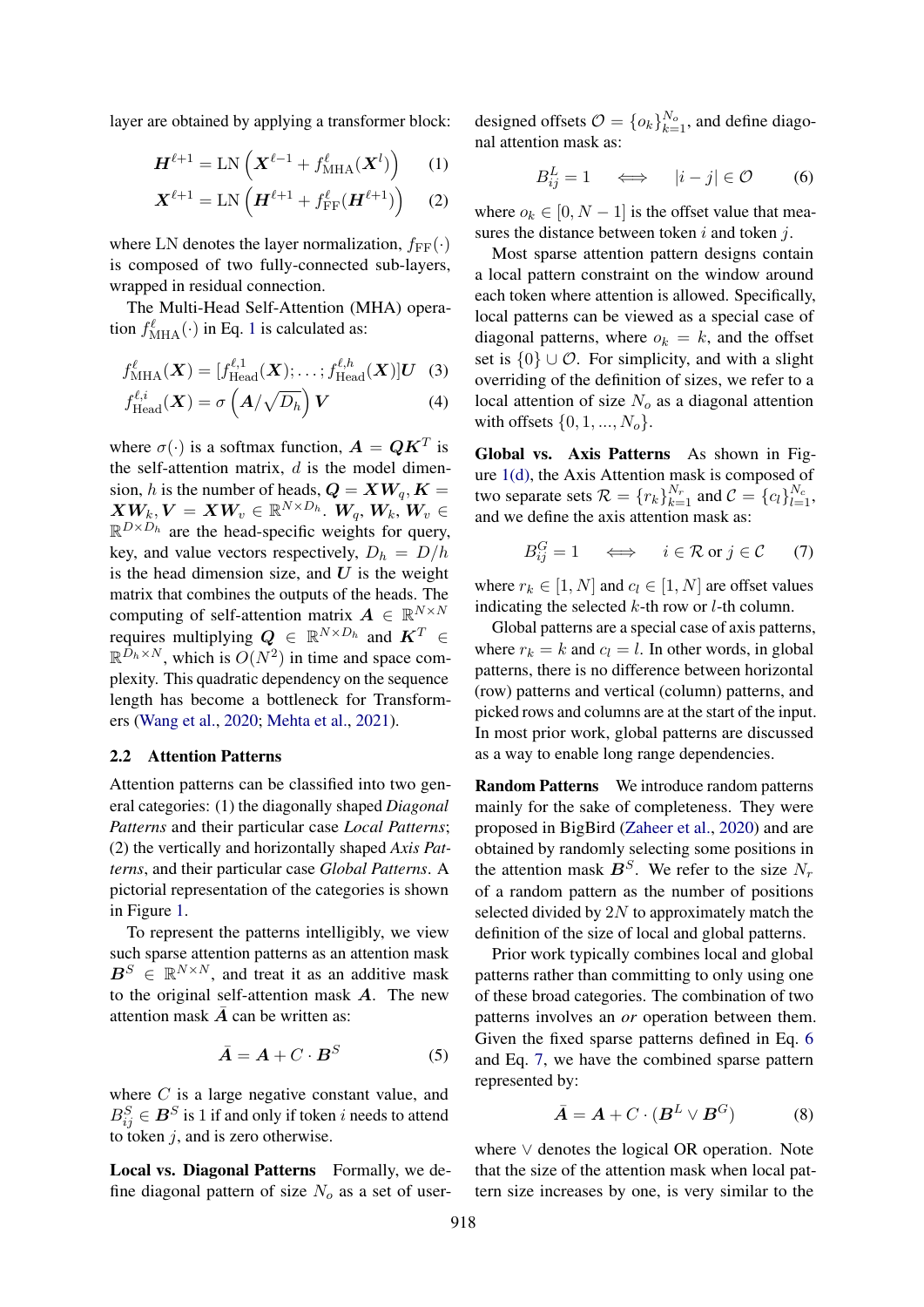layer are obtained by applying a transformer block:

$$
\boldsymbol{H}^{\ell+1} = \text{LN}\left(\boldsymbol{X}^{\ell-1} + f_{\text{MHA}}^{\ell}(\boldsymbol{X}^{l})\right) \qquad (1)
$$

$$
\boldsymbol{X}^{\ell+1} = \text{LN}\left(\boldsymbol{H}^{\ell+1} + f_{\text{FF}}^{\ell}(\boldsymbol{H}^{\ell+1})\right) \quad (2)
$$

where LN denotes the layer normalization,  $f_{FF}(\cdot)$ is composed of two fully-connected sub-layers, wrapped in residual connection.

The Multi-Head Self-Attention (MHA) operation  $f_{\text{MHA}}^{\ell}(\cdot)$  in Eq. [1](#page-2-0) is calculated as:

$$
f_{\text{MHA}}^{l}(\boldsymbol{X}) = [f_{\text{Head}}^{l,1}(\boldsymbol{X}); \ldots; f_{\text{Head}}^{l,h}(\boldsymbol{X})]U \quad (3)
$$

$$
f_{\text{Head}}^{l,i}(X) = \sigma\left(A/\sqrt{D_h}\right)V\tag{4}
$$

where  $\sigma(\cdot)$  is a softmax function,  $\mathbf{A} = \mathbf{Q}\mathbf{K}^T$  is the self-attention matrix,  $d$  is the model dimension, h is the number of heads,  $Q = XW_q, K =$  $\boldsymbol{X}\boldsymbol{W_k},\boldsymbol{V}=\boldsymbol{X}\boldsymbol{W_v}\in\mathbb{R}^{N\times D_h}$ .  $\boldsymbol{W_q},\boldsymbol{W_k},\boldsymbol{W_v}\in$  $\mathbb{R}^{D \times D_h}$  are the head-specific weights for query, key, and value vectors respectively,  $D_h = D/h$ is the head dimension size, and  $U$  is the weight matrix that combines the outputs of the heads. The computing of self-attention matrix  $\mathbf{A} \in \mathbb{R}^{N \times N}$ requires multiplying  $Q \in \mathbb{R}^{N \times D_h}$  and  $K^T \in$  $\mathbb{R}^{\bar{D}_h \times N}$ , which is  $O(N^2)$  in time and space complexity. This quadratic dependency on the sequence length has become a bottleneck for Transformers [\(Wang et al.,](#page-9-13) [2020;](#page-9-13) [Mehta et al.,](#page-9-14) [2021\)](#page-9-14).

#### 2.2 Attention Patterns

Attention patterns can be classified into two general categories: (1) the diagonally shaped *Diagonal Patterns* and their particular case *Local Patterns*; (2) the vertically and horizontally shaped *Axis Patterns*, and their particular case *Global Patterns*. A pictorial representation of the categories is shown in Figure [1.](#page-1-1)

To represent the patterns intelligibly, we view such sparse attention patterns as an attention mask  $B^S \in \mathbb{R}^{N \times N}$ , and treat it as an additive mask to the original self-attention mask A. The new attention mask  $\overline{A}$  can be written as:

$$
\bar{A} = A + C \cdot B^S \tag{5}
$$

where  $C$  is a large negative constant value, and  $B_{ij}^S \in \mathbf{B}^S$  is 1 if and only if token *i* needs to attend to token  $i$ , and is zero otherwise.

Local vs. Diagonal Patterns Formally, we define diagonal pattern of size  $N<sub>o</sub>$  as a set of user-

<span id="page-2-0"></span>designed offsets  $\mathcal{O} = \{o_k\}_{k=1}^{N_o}$ , and define diagonal attention mask as:

<span id="page-2-1"></span>
$$
B_{ij}^L = 1 \quad \iff \quad |i - j| \in \mathcal{O} \tag{6}
$$

where  $o_k \in [0, N - 1]$  is the offset value that measures the distance between token  $i$  and token  $j$ .

Most sparse attention pattern designs contain a local pattern constraint on the window around each token where attention is allowed. Specifically, local patterns can be viewed as a special case of diagonal patterns, where  $o_k = k$ , and the offset set is  $\{0\} \cup \mathcal{O}$ . For simplicity, and with a slight overriding of the definition of sizes, we refer to a local attention of size  $N<sub>o</sub>$  as a diagonal attention with offsets  $\{0, 1, ..., N_o\}$ .

Global vs. Axis Patterns As shown in Figure [1\(d\),](#page-1-0) the Axis Attention mask is composed of two separate sets  $\mathcal{R} = \{r_k\}_{k=1}^{N_r}$  and  $\mathcal{C} = \{c_l\}_{l=1}^{N_c}$ , and we define the axis attention mask as:

<span id="page-2-2"></span>
$$
B_{ij}^G = 1 \quad \iff \quad i \in \mathcal{R} \text{ or } j \in \mathcal{C} \qquad (7)
$$

where  $r_k \in [1, N]$  and  $c_l \in [1, N]$  are offset values indicating the selected  $k$ -th row or  $l$ -th column.

Global patterns are a special case of axis patterns, where  $r_k = k$  and  $c_l = l$ . In other words, in global patterns, there is no difference between horizontal (row) patterns and vertical (column) patterns, and picked rows and columns are at the start of the input. In most prior work, global patterns are discussed as a way to enable long range dependencies.

Random Patterns We introduce random patterns mainly for the sake of completeness. They were proposed in BigBird [\(Zaheer et al.,](#page-9-5) [2020\)](#page-9-5) and are obtained by randomly selecting some positions in the attention mask  $\mathbf{B}^S$ . We refer to the size  $N_r$ of a random pattern as the number of positions selected divided by  $2N$  to approximately match the definition of the size of local and global patterns.

Prior work typically combines local and global patterns rather than committing to only using one of these broad categories. The combination of two patterns involves an *or* operation between them. Given the fixed sparse patterns defined in Eq. [6](#page-2-1) and Eq. [7,](#page-2-2) we have the combined sparse pattern represented by:

$$
\bar{A} = A + C \cdot (B^L \vee B^G) \tag{8}
$$

where ∨ denotes the logical OR operation. Note that the size of the attention mask when local pattern size increases by one, is very similar to the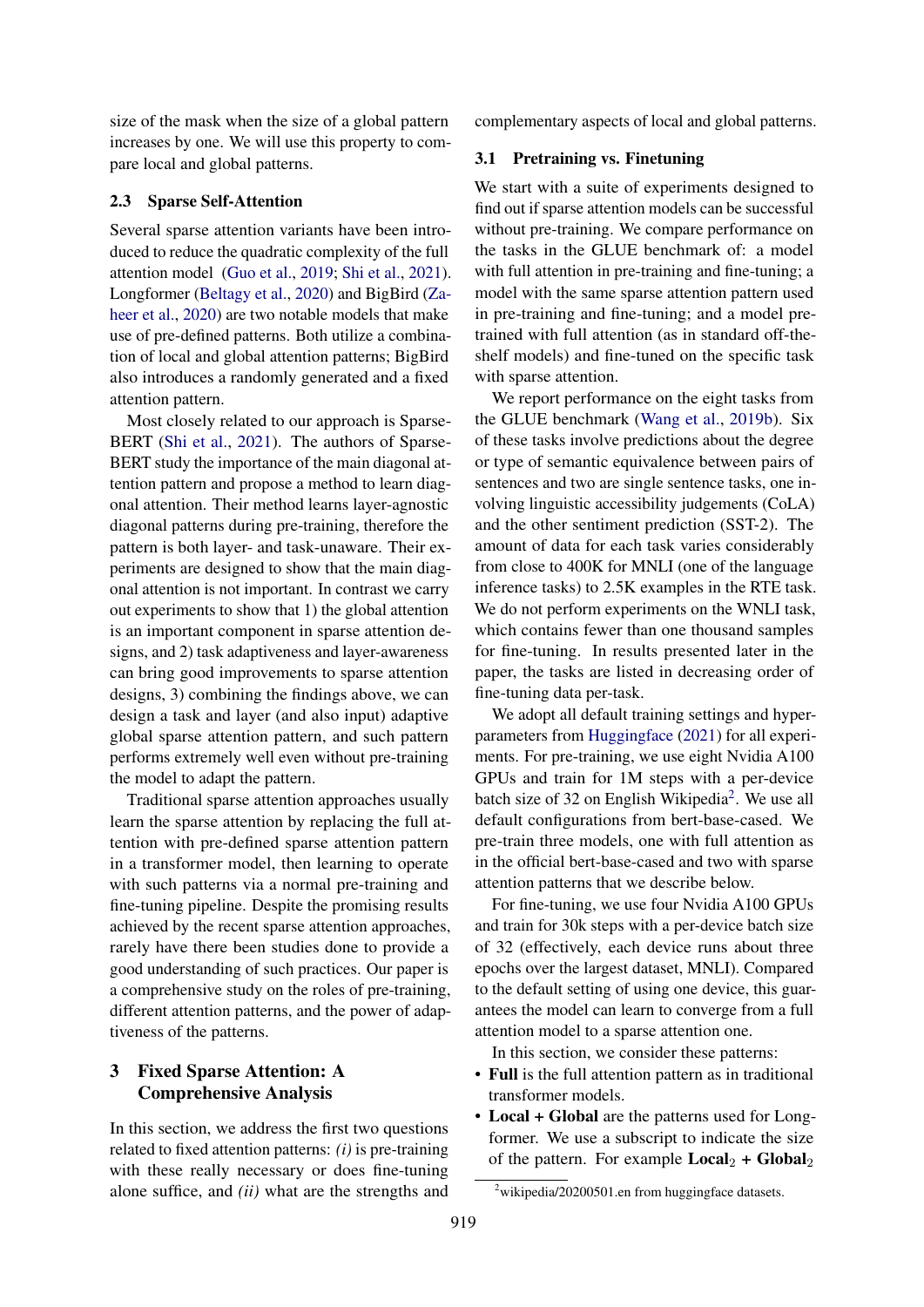size of the mask when the size of a global pattern increases by one. We will use this property to compare local and global patterns.

### 2.3 Sparse Self-Attention

Several sparse attention variants have been introduced to reduce the quadratic complexity of the full attention model [\(Guo et al.,](#page-9-3) [2019;](#page-9-3) [Shi et al.,](#page-9-10) [2021\)](#page-9-10). Longformer [\(Beltagy et al.,](#page-9-9) [2020\)](#page-9-9) and BigBird [\(Za](#page-9-5)[heer et al.,](#page-9-5) [2020\)](#page-9-5) are two notable models that make use of pre-defined patterns. Both utilize a combination of local and global attention patterns; BigBird also introduces a randomly generated and a fixed attention pattern.

Most closely related to our approach is Sparse-BERT [\(Shi et al.,](#page-9-10) [2021\)](#page-9-10). The authors of Sparse-BERT study the importance of the main diagonal attention pattern and propose a method to learn diagonal attention. Their method learns layer-agnostic diagonal patterns during pre-training, therefore the pattern is both layer- and task-unaware. Their experiments are designed to show that the main diagonal attention is not important. In contrast we carry out experiments to show that 1) the global attention is an important component in sparse attention designs, and 2) task adaptiveness and layer-awareness can bring good improvements to sparse attention designs, 3) combining the findings above, we can design a task and layer (and also input) adaptive global sparse attention pattern, and such pattern performs extremely well even without pre-training the model to adapt the pattern.

Traditional sparse attention approaches usually learn the sparse attention by replacing the full attention with pre-defined sparse attention pattern in a transformer model, then learning to operate with such patterns via a normal pre-training and fine-tuning pipeline. Despite the promising results achieved by the recent sparse attention approaches, rarely have there been studies done to provide a good understanding of such practices. Our paper is a comprehensive study on the roles of pre-training, different attention patterns, and the power of adaptiveness of the patterns.

## 3 Fixed Sparse Attention: A Comprehensive Analysis

In this section, we address the first two questions related to fixed attention patterns: *(i)* is pre-training with these really necessary or does fine-tuning alone suffice, and *(ii)* what are the strengths and complementary aspects of local and global patterns.

#### <span id="page-3-1"></span>3.1 Pretraining vs. Finetuning

We start with a suite of experiments designed to find out if sparse attention models can be successful without pre-training. We compare performance on the tasks in the GLUE benchmark of: a model with full attention in pre-training and fine-tuning; a model with the same sparse attention pattern used in pre-training and fine-tuning; and a model pretrained with full attention (as in standard off-theshelf models) and fine-tuned on the specific task with sparse attention.

We report performance on the eight tasks from the GLUE benchmark [\(Wang et al.,](#page-9-15) [2019b\)](#page-9-15). Six of these tasks involve predictions about the degree or type of semantic equivalence between pairs of sentences and two are single sentence tasks, one involving linguistic accessibility judgements (CoLA) and the other sentiment prediction (SST-2). The amount of data for each task varies considerably from close to 400K for MNLI (one of the language inference tasks) to 2.5K examples in the RTE task. We do not perform experiments on the WNLI task, which contains fewer than one thousand samples for fine-tuning. In results presented later in the paper, the tasks are listed in decreasing order of fine-tuning data per-task.

We adopt all default training settings and hyperparameters from [Huggingface](#page-9-16) [\(2021\)](#page-9-16) for all experiments. For pre-training, we use eight Nvidia A100 GPUs and train for 1M steps with a per-device batch size of 3[2](#page-3-0) on English Wikipedia<sup>2</sup>. We use all default configurations from bert-base-cased. We pre-train three models, one with full attention as in the official bert-base-cased and two with sparse attention patterns that we describe below.

For fine-tuning, we use four Nvidia A100 GPUs and train for 30k steps with a per-device batch size of 32 (effectively, each device runs about three epochs over the largest dataset, MNLI). Compared to the default setting of using one device, this guarantees the model can learn to converge from a full attention model to a sparse attention one.

In this section, we consider these patterns:

- Full is the full attention pattern as in traditional transformer models.
- Local + Global are the patterns used for Longformer. We use a subscript to indicate the size of the pattern. For example  $Local_2 + Global_2$

<span id="page-3-0"></span> $2$ wikipedia/20200501.en from huggingface datasets.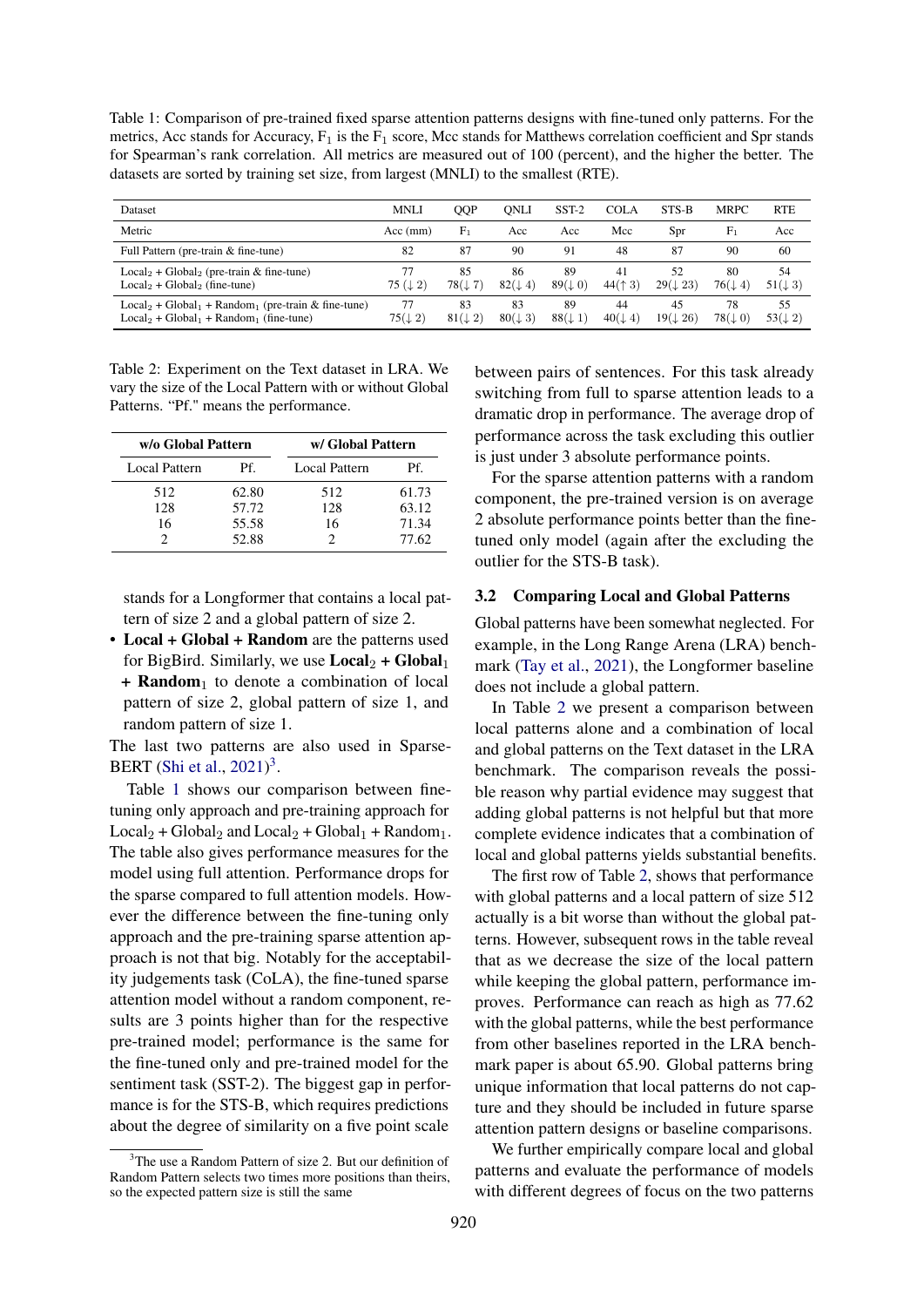<span id="page-4-1"></span>Table 1: Comparison of pre-trained fixed sparse attention patterns designs with fine-tuned only patterns. For the metrics, Acc stands for Accuracy,  $F_1$  is the  $F_1$  score, Mcc stands for Matthews correlation coefficient and Spr stands for Spearman's rank correlation. All metrics are measured out of 100 (percent), and the higher the better. The datasets are sorted by training set size, from largest (MNLI) to the smallest (RTE).

| Dataset                                                                                             | <b>MNLI</b>              | QQP                      | <b>ONLI</b>              | $SST-2$                  | <b>COLA</b>              | STS-B                     | <b>MRPC</b>              | <b>RTE</b>               |
|-----------------------------------------------------------------------------------------------------|--------------------------|--------------------------|--------------------------|--------------------------|--------------------------|---------------------------|--------------------------|--------------------------|
| Metric                                                                                              | Acc (mm)                 | F <sub>1</sub>           | Acc                      | Acc                      | Mcc                      | Spr                       | F <sub>1</sub>           | Acc                      |
| Full Pattern (pre-train & fine-tune)                                                                | 82                       | 87                       | 90                       | 91                       | 48                       | 87                        | 90                       | 60                       |
| $Local_2 + Global_2$ (pre-train & fine-tune)<br>$Local2 + Global2$ (fine-tune)                      | 77<br>75 $(1, 2)$        | 85<br>$78(\downarrow 7)$ | 86<br>$82(\downarrow 4)$ | 89<br>$89(\downarrow 0)$ | 41<br>44(† 3)            | 52<br>$29(\downarrow 23)$ | 80<br>$76(\downarrow 4)$ | 54<br>$51(\downarrow 3)$ |
| $Local_2 + Global_1 + Random_1$ (pre-train & fine-tune)<br>$Local2 + Global1 + Random1$ (fine-tune) | 77<br>$75(\downarrow 2)$ | 83<br>$81(\downarrow 2)$ | 83<br>$80(\downarrow 3)$ | 89<br>$88(\downarrow 1)$ | 44<br>$40(\downarrow 4)$ | 45<br>$19(\downarrow 26)$ | 78<br>$78(\downarrow 0)$ | 55<br>$53(\downarrow 2)$ |

<span id="page-4-2"></span>Table 2: Experiment on the Text dataset in LRA. We vary the size of the Local Pattern with or without Global Patterns. "Pf." means the performance.

| w/o Global Pattern |       | w/ Global Pattern    |       |  |  |  |  |  |  |
|--------------------|-------|----------------------|-------|--|--|--|--|--|--|
| Local Pattern      | Pf.   | <b>Local Pattern</b> | Pf.   |  |  |  |  |  |  |
| 512                | 62.80 | 512                  | 61.73 |  |  |  |  |  |  |
| 128                | 57.72 | 128                  | 63.12 |  |  |  |  |  |  |
| 16                 | 55.58 | 16                   | 71.34 |  |  |  |  |  |  |
|                    | 52.88 |                      | 77.62 |  |  |  |  |  |  |

stands for a Longformer that contains a local pattern of size 2 and a global pattern of size 2.

• Local + Global + Random are the patterns used for BigBird. Similarly, we use  $Local_2 + Global_1$  $+$  **Random**<sub>1</sub> to denote a combination of local pattern of size 2, global pattern of size 1, and random pattern of size 1.

The last two patterns are also used in Sparse-BERT [\(Shi et al.,](#page-9-10)  $2021$ )<sup>[3](#page-4-0)</sup>.

Table [1](#page-4-1) shows our comparison between finetuning only approach and pre-training approach for  $Local_2 + Global_2$  and  $Local_2 + Global_1 + Random_1$ . The table also gives performance measures for the model using full attention. Performance drops for the sparse compared to full attention models. However the difference between the fine-tuning only approach and the pre-training sparse attention approach is not that big. Notably for the acceptability judgements task (CoLA), the fine-tuned sparse attention model without a random component, results are 3 points higher than for the respective pre-trained model; performance is the same for the fine-tuned only and pre-trained model for the sentiment task (SST-2). The biggest gap in performance is for the STS-B, which requires predictions about the degree of similarity on a five point scale

between pairs of sentences. For this task already switching from full to sparse attention leads to a dramatic drop in performance. The average drop of performance across the task excluding this outlier is just under 3 absolute performance points.

For the sparse attention patterns with a random component, the pre-trained version is on average 2 absolute performance points better than the finetuned only model (again after the excluding the outlier for the STS-B task).

#### <span id="page-4-3"></span>3.2 Comparing Local and Global Patterns

Global patterns have been somewhat neglected. For example, in the Long Range Arena (LRA) benchmark [\(Tay et al.,](#page-9-17) [2021\)](#page-9-17), the Longformer baseline does not include a global pattern.

In Table [2](#page-4-2) we present a comparison between local patterns alone and a combination of local and global patterns on the Text dataset in the LRA benchmark. The comparison reveals the possible reason why partial evidence may suggest that adding global patterns is not helpful but that more complete evidence indicates that a combination of local and global patterns yields substantial benefits.

The first row of Table [2,](#page-4-2) shows that performance with global patterns and a local pattern of size 512 actually is a bit worse than without the global patterns. However, subsequent rows in the table reveal that as we decrease the size of the local pattern while keeping the global pattern, performance improves. Performance can reach as high as 77.62 with the global patterns, while the best performance from other baselines reported in the LRA benchmark paper is about 65.90. Global patterns bring unique information that local patterns do not capture and they should be included in future sparse attention pattern designs or baseline comparisons.

We further empirically compare local and global patterns and evaluate the performance of models with different degrees of focus on the two patterns

<span id="page-4-0"></span><sup>&</sup>lt;sup>3</sup>The use a Random Pattern of size 2. But our definition of Random Pattern selects two times more positions than theirs, so the expected pattern size is still the same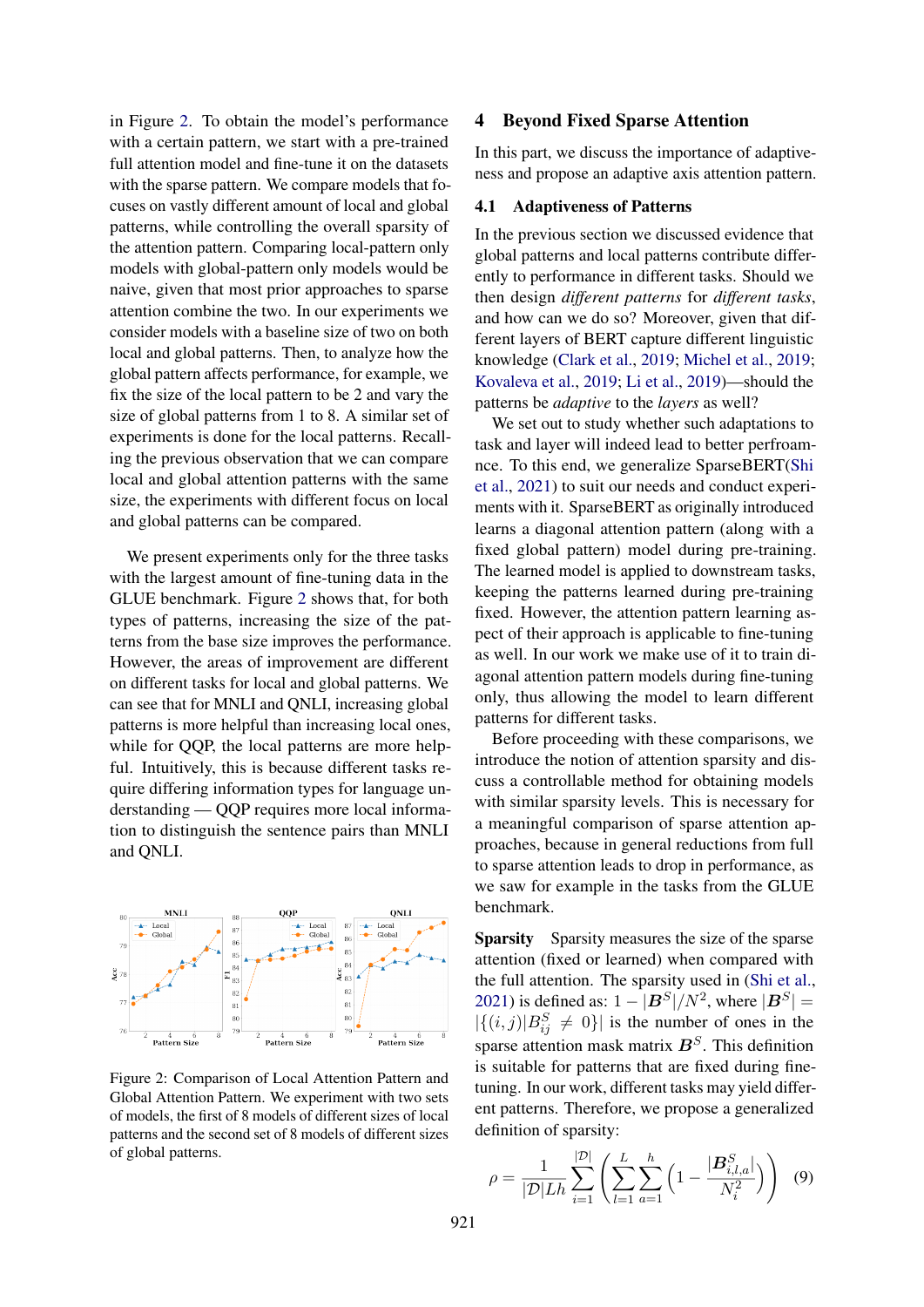in Figure [2.](#page-5-0) To obtain the model's performance with a certain pattern, we start with a pre-trained full attention model and fine-tune it on the datasets with the sparse pattern. We compare models that focuses on vastly different amount of local and global patterns, while controlling the overall sparsity of the attention pattern. Comparing local-pattern only models with global-pattern only models would be naive, given that most prior approaches to sparse attention combine the two. In our experiments we consider models with a baseline size of two on both local and global patterns. Then, to analyze how the global pattern affects performance, for example, we fix the size of the local pattern to be 2 and vary the size of global patterns from 1 to 8. A similar set of experiments is done for the local patterns. Recalling the previous observation that we can compare local and global attention patterns with the same size, the experiments with different focus on local and global patterns can be compared.

We present experiments only for the three tasks with the largest amount of fine-tuning data in the GLUE benchmark. Figure [2](#page-5-0) shows that, for both types of patterns, increasing the size of the patterns from the base size improves the performance. However, the areas of improvement are different on different tasks for local and global patterns. We can see that for MNLI and QNLI, increasing global patterns is more helpful than increasing local ones, while for QQP, the local patterns are more helpful. Intuitively, this is because different tasks require differing information types for language understanding — QQP requires more local information to distinguish the sentence pairs than MNLI and QNLI.

<span id="page-5-0"></span>

Figure 2: Comparison of Local Attention Pattern and Global Attention Pattern. We experiment with two sets of models, the first of 8 models of different sizes of local patterns and the second set of 8 models of different sizes of global patterns.

### 4 Beyond Fixed Sparse Attention

In this part, we discuss the importance of adaptiveness and propose an adaptive axis attention pattern.

#### <span id="page-5-2"></span>4.1 Adaptiveness of Patterns

In the previous section we discussed evidence that global patterns and local patterns contribute differently to performance in different tasks. Should we then design *different patterns* for *different tasks*, and how can we do so? Moreover, given that different layers of BERT capture different linguistic knowledge [\(Clark et al.,](#page-9-18) [2019;](#page-9-18) [Michel et al.,](#page-9-19) [2019;](#page-9-19) [Kovaleva et al.,](#page-9-20) [2019;](#page-9-20) [Li et al.,](#page-9-2) [2019\)](#page-9-2)—should the patterns be *adaptive* to the *layers* as well?

We set out to study whether such adaptations to task and layer will indeed lead to better perfroamnce. To this end, we generalize SparseBERT[\(Shi](#page-9-10) [et al.,](#page-9-10) [2021\)](#page-9-10) to suit our needs and conduct experiments with it. SparseBERT as originally introduced learns a diagonal attention pattern (along with a fixed global pattern) model during pre-training. The learned model is applied to downstream tasks, keeping the patterns learned during pre-training fixed. However, the attention pattern learning aspect of their approach is applicable to fine-tuning as well. In our work we make use of it to train diagonal attention pattern models during fine-tuning only, thus allowing the model to learn different patterns for different tasks.

Before proceeding with these comparisons, we introduce the notion of attention sparsity and discuss a controllable method for obtaining models with similar sparsity levels. This is necessary for a meaningful comparison of sparse attention approaches, because in general reductions from full to sparse attention leads to drop in performance, as we saw for example in the tasks from the GLUE benchmark.

Sparsity Sparsity measures the size of the sparse attention (fixed or learned) when compared with the full attention. The sparsity used in [\(Shi et al.,](#page-9-10) [2021\)](#page-9-10) is defined as:  $1 - |B^S|/N^2$ , where  $|B^S|$  =  $|\{(i,j)|B_{ij}^S \neq 0\}|$  is the number of ones in the sparse attention mask matrix  $B<sup>S</sup>$ . This definition is suitable for patterns that are fixed during finetuning. In our work, different tasks may yield different patterns. Therefore, we propose a generalized definition of sparsity:

<span id="page-5-1"></span>
$$
\rho = \frac{1}{|\mathcal{D}| L h} \sum_{i=1}^{|\mathcal{D}|} \left( \sum_{l=1}^{L} \sum_{a=1}^{h} \left( 1 - \frac{|\mathbf{B}_{i,l,a}^{S}|}{N_i^2} \right) \right) \tag{9}
$$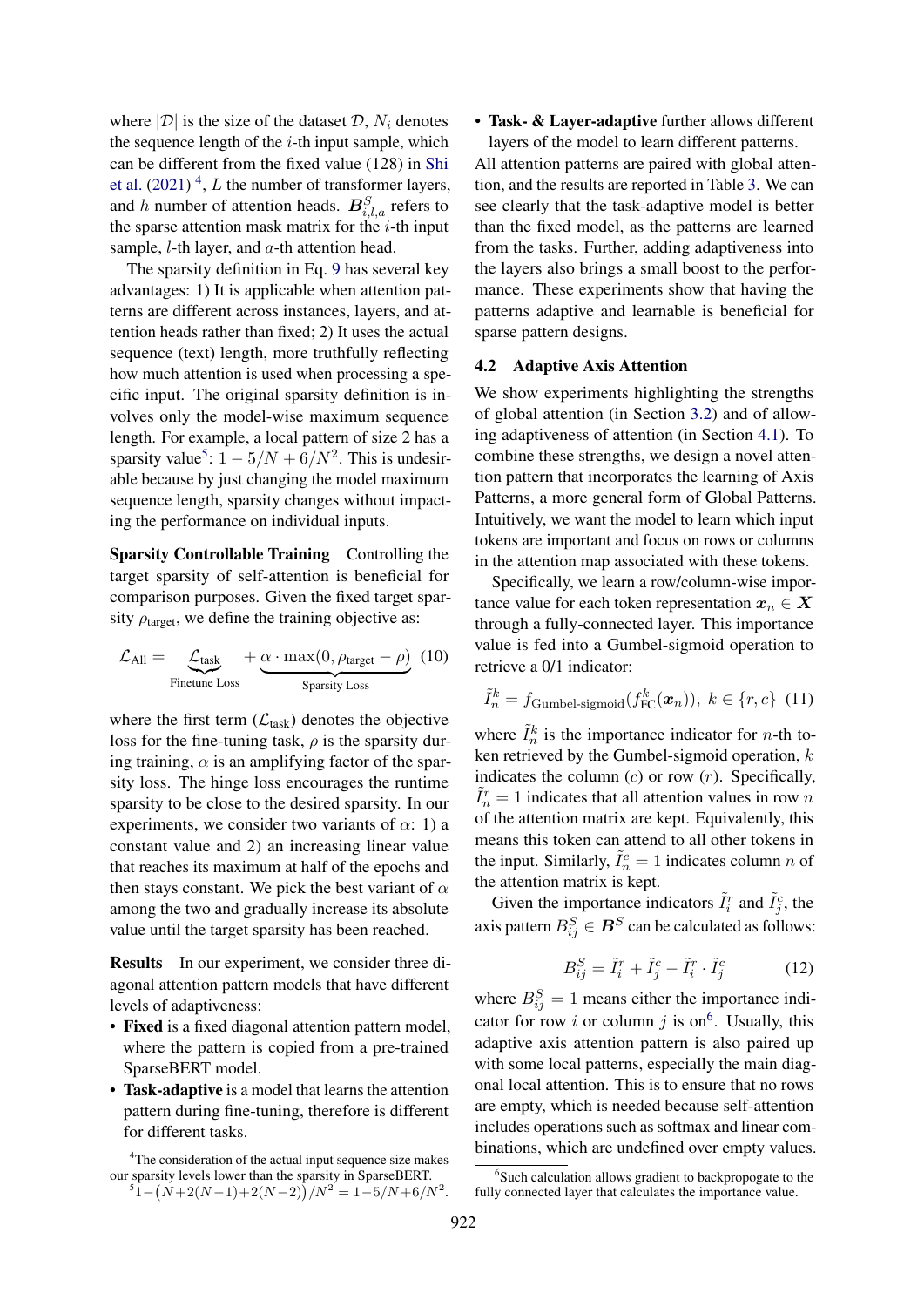where  $|\mathcal{D}|$  is the size of the dataset  $\mathcal{D}, N_i$  denotes the sequence length of the  $i$ -th input sample, which can be different from the fixed value (128) in [Shi](#page-9-10) [et al.](#page-9-10)  $(2021)^4$  $(2021)^4$  $(2021)^4$ , L the number of transformer layers, and h number of attention heads.  $B_{i,l,a}^S$  refers to the sparse attention mask matrix for the  $i$ -th input sample,  $l$ -th layer, and  $a$ -th attention head.

The sparsity definition in Eq. [9](#page-5-1) has several key advantages: 1) It is applicable when attention patterns are different across instances, layers, and attention heads rather than fixed; 2) It uses the actual sequence (text) length, more truthfully reflecting how much attention is used when processing a specific input. The original sparsity definition is involves only the model-wise maximum sequence length. For example, a local pattern of size 2 has a sparsity value<sup>[5](#page-6-1)</sup>:  $1 - 5/N + 6/N^2$ . This is undesirable because by just changing the model maximum sequence length, sparsity changes without impacting the performance on individual inputs.

Sparsity Controllable Training Controlling the target sparsity of self-attention is beneficial for comparison purposes. Given the fixed target sparsity  $\rho_{\text{target}}$ , we define the training objective as:

$$
\mathcal{L}_{\text{All}} = \underbrace{\mathcal{L}_{\text{task}}}_{\text{Finetune Loss}} + \underbrace{\alpha \cdot \max(0, \rho_{\text{target}} - \rho)}_{\text{Sparsity Loss}} (10)
$$

where the first term  $(\mathcal{L}_{task})$  denotes the objective loss for the fine-tuning task,  $\rho$  is the sparsity during training,  $\alpha$  is an amplifying factor of the sparsity loss. The hinge loss encourages the runtime sparsity to be close to the desired sparsity. In our experiments, we consider two variants of  $\alpha$ : 1) a constant value and 2) an increasing linear value that reaches its maximum at half of the epochs and then stays constant. We pick the best variant of  $\alpha$ among the two and gradually increase its absolute value until the target sparsity has been reached.

Results In our experiment, we consider three diagonal attention pattern models that have different levels of adaptiveness:

- Fixed is a fixed diagonal attention pattern model, where the pattern is copied from a pre-trained SparseBERT model.
- Task-adaptive is a model that learns the attention pattern during fine-tuning, therefore is different for different tasks.

### • Task- & Layer-adaptive further allows different layers of the model to learn different patterns.

All attention patterns are paired with global attention, and the results are reported in Table [3.](#page-7-0) We can see clearly that the task-adaptive model is better than the fixed model, as the patterns are learned from the tasks. Further, adding adaptiveness into the layers also brings a small boost to the performance. These experiments show that having the patterns adaptive and learnable is beneficial for sparse pattern designs.

### 4.2 Adaptive Axis Attention

We show experiments highlighting the strengths of global attention (in Section [3.2\)](#page-4-3) and of allowing adaptiveness of attention (in Section [4.1\)](#page-5-2). To combine these strengths, we design a novel attention pattern that incorporates the learning of Axis Patterns, a more general form of Global Patterns. Intuitively, we want the model to learn which input tokens are important and focus on rows or columns in the attention map associated with these tokens.

<span id="page-6-3"></span>Specifically, we learn a row/column-wise importance value for each token representation  $x_n \in X$ through a fully-connected layer. This importance value is fed into a Gumbel-sigmoid operation to retrieve a 0/1 indicator:

$$
\tilde{I}_n^k = f_{\text{Gumbel-sigmoid}}(f_{\text{FC}}^k(\boldsymbol{x}_n)), \ k \in \{r, c\} \tag{11}
$$

where  $\tilde{I}_n^k$  is the importance indicator for *n*-th token retrieved by the Gumbel-sigmoid operation,  $k$ indicates the column  $(c)$  or row  $(r)$ . Specifically,  $\tilde{I}_n^r = 1$  indicates that all attention values in row n of the attention matrix are kept. Equivalently, this means this token can attend to all other tokens in the input. Similarly,  $\tilde{I}_n^c = 1$  indicates column *n* of the attention matrix is kept.

Given the importance indicators  $\tilde{I}_i^r$  and  $\tilde{I}_j^c$ , the axis pattern  $B_{ij}^S \in \mathbf{B}^S$  can be calculated as follows:

$$
B_{ij}^S = \tilde{I}_i^r + \tilde{I}_j^c - \tilde{I}_i^r \cdot \tilde{I}_j^c \tag{12}
$$

where  $B_{ij}^S = 1$  means either the importance indi-cator for row i or column j is on<sup>[6](#page-6-2)</sup>. Usually, this adaptive axis attention pattern is also paired up with some local patterns, especially the main diagonal local attention. This is to ensure that no rows are empty, which is needed because self-attention includes operations such as softmax and linear combinations, which are undefined over empty values.

<span id="page-6-1"></span><span id="page-6-0"></span><sup>&</sup>lt;sup>4</sup>The consideration of the actual input sequence size makes our sparsity levels lower than the sparsity in SparseBERT.<br><sup>5</sup>1 –  $(N+2(N-1)+2(N-2))/N^2 = 1-5/N+6/N^2$ .

<span id="page-6-2"></span><sup>&</sup>lt;sup>6</sup>Such calculation allows gradient to backpropogate to the fully connected layer that calculates the importance value.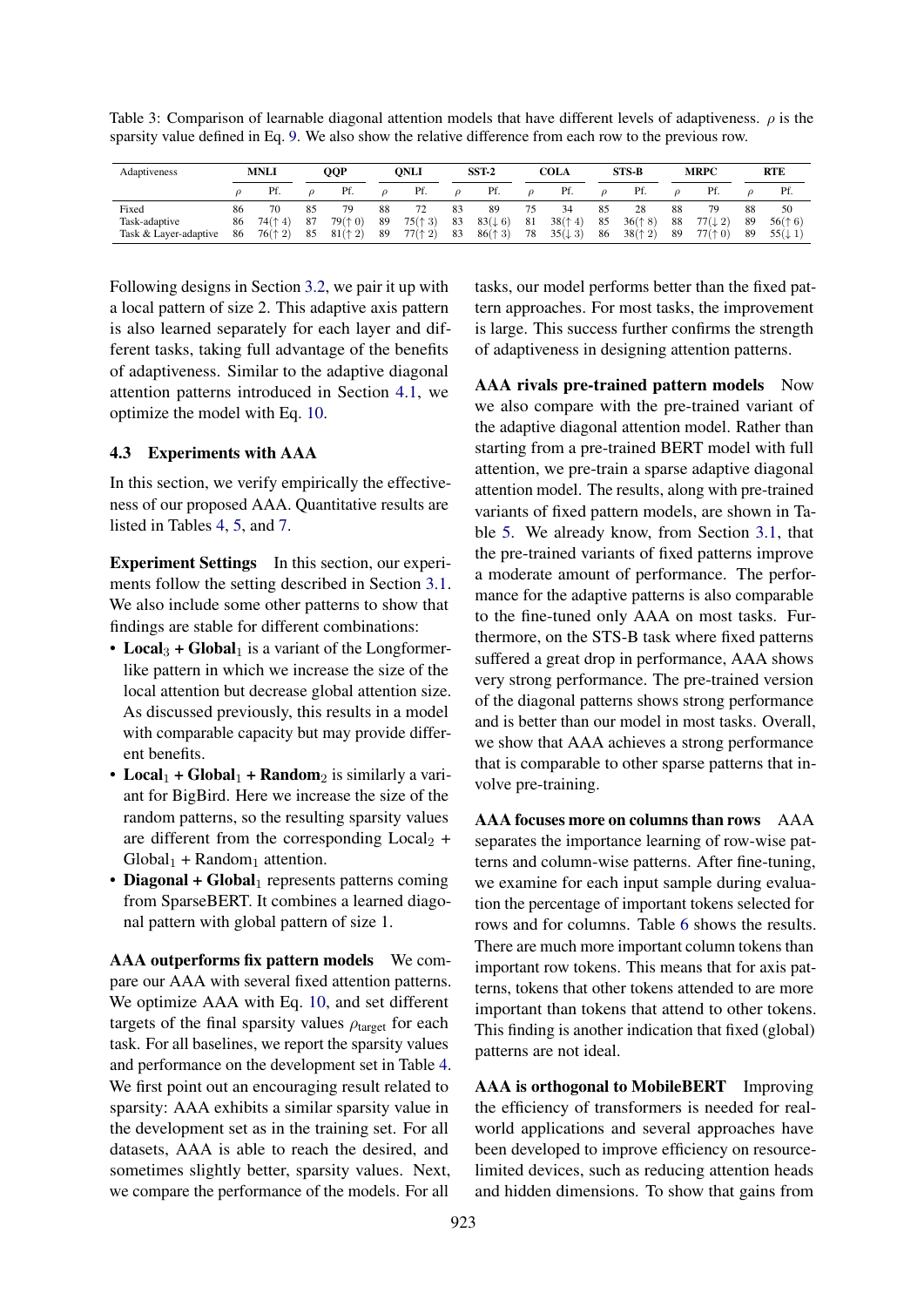<span id="page-7-0"></span>Table 3: Comparison of learnable diagonal attention models that have different levels of adaptiveness.  $\rho$  is the sparsity value defined in Eq. [9.](#page-5-1) We also show the relative difference from each row to the previous row.

| Adaptiveness                                                      | <b>MNLI</b>                                   |                | QQP                      |                | ONLI                     |                | $SST-2$                             |                | COLA                                |                 | STS-B                    |                | <b>MRPC</b>                         |                | <b>RTE</b>                          |  |
|-------------------------------------------------------------------|-----------------------------------------------|----------------|--------------------------|----------------|--------------------------|----------------|-------------------------------------|----------------|-------------------------------------|-----------------|--------------------------|----------------|-------------------------------------|----------------|-------------------------------------|--|
|                                                                   | Pf.                                           |                | Pf.                      |                | Pf.                      |                | Pf.                                 |                | Pf.                                 |                 | Pf.                      |                | Pf.                                 |                | Pf.                                 |  |
| Fixed<br>86<br>Task-adaptive<br>86<br>Task & Laver-adaptive<br>86 | 74(† 4)<br>$76($ <sup><math>+</math></sup> 2) | 85<br>87<br>85 | 79<br>79(† 0)<br>81(† 2) | 88<br>89<br>89 | 72<br>75(† 3)<br>77(† 2) | 83<br>83<br>83 | 89<br>$83(\downarrow 6)$<br>86(† 3) | 75<br>81<br>78 | 34<br>38(† 4)<br>$35(\downarrow 3)$ | 85<br>85<br>-86 | 28<br>36(† 8)<br>38(† 2) | 88<br>88<br>89 | 79<br>$77(\downarrow 2)$<br>77(f 0) | 88<br>89<br>89 | 50<br>56(† 6)<br>$55(\downarrow 1)$ |  |

Following designs in Section [3.2,](#page-4-3) we pair it up with a local pattern of size 2. This adaptive axis pattern is also learned separately for each layer and different tasks, taking full advantage of the benefits of adaptiveness. Similar to the adaptive diagonal attention patterns introduced in Section [4.1,](#page-5-2) we optimize the model with Eq. [10.](#page-6-3)

### 4.3 Experiments with AAA

In this section, we verify empirically the effectiveness of our proposed AAA. Quantitative results are listed in Tables [4,](#page-8-0) [5,](#page-8-1) and [7.](#page-8-2)

Experiment Settings In this section, our experiments follow the setting described in Section [3.1.](#page-3-1) We also include some other patterns to show that findings are stable for different combinations:

- Local<sub>3</sub> + Global<sub>1</sub> is a variant of the Longformerlike pattern in which we increase the size of the local attention but decrease global attention size. As discussed previously, this results in a model with comparable capacity but may provide different benefits.
- Local<sub>1</sub> + Global<sub>1</sub> + Random<sub>2</sub> is similarly a variant for BigBird. Here we increase the size of the random patterns, so the resulting sparsity values are different from the corresponding  $Local_2 +$  $Global<sub>1</sub> + Random<sub>1</sub>$  attention.
- Diagonal +  $Global<sub>1</sub>$  represents patterns coming from SparseBERT. It combines a learned diagonal pattern with global pattern of size 1.

AAA outperforms fix pattern models We compare our AAA with several fixed attention patterns. We optimize AAA with Eq. [10,](#page-6-3) and set different targets of the final sparsity values  $\rho_{\text{target}}$  for each task. For all baselines, we report the sparsity values and performance on the development set in Table [4.](#page-8-0) We first point out an encouraging result related to sparsity: AAA exhibits a similar sparsity value in the development set as in the training set. For all datasets, AAA is able to reach the desired, and sometimes slightly better, sparsity values. Next, we compare the performance of the models. For all

tasks, our model performs better than the fixed pattern approaches. For most tasks, the improvement is large. This success further confirms the strength of adaptiveness in designing attention patterns.

AAA rivals pre-trained pattern models Now we also compare with the pre-trained variant of the adaptive diagonal attention model. Rather than starting from a pre-trained BERT model with full attention, we pre-train a sparse adaptive diagonal attention model. The results, along with pre-trained variants of fixed pattern models, are shown in Table [5.](#page-8-1) We already know, from Section [3.1,](#page-3-1) that the pre-trained variants of fixed patterns improve a moderate amount of performance. The performance for the adaptive patterns is also comparable to the fine-tuned only AAA on most tasks. Furthermore, on the STS-B task where fixed patterns suffered a great drop in performance, AAA shows very strong performance. The pre-trained version of the diagonal patterns shows strong performance and is better than our model in most tasks. Overall, we show that AAA achieves a strong performance that is comparable to other sparse patterns that involve pre-training.

AAA focuses more on columns than rows AAA separates the importance learning of row-wise patterns and column-wise patterns. After fine-tuning, we examine for each input sample during evaluation the percentage of important tokens selected for rows and for columns. Table [6](#page-8-3) shows the results. There are much more important column tokens than important row tokens. This means that for axis patterns, tokens that other tokens attended to are more important than tokens that attend to other tokens. This finding is another indication that fixed (global) patterns are not ideal.

AAA is orthogonal to MobileBERT Improving the efficiency of transformers is needed for realworld applications and several approaches have been developed to improve efficiency on resourcelimited devices, such as reducing attention heads and hidden dimensions. To show that gains from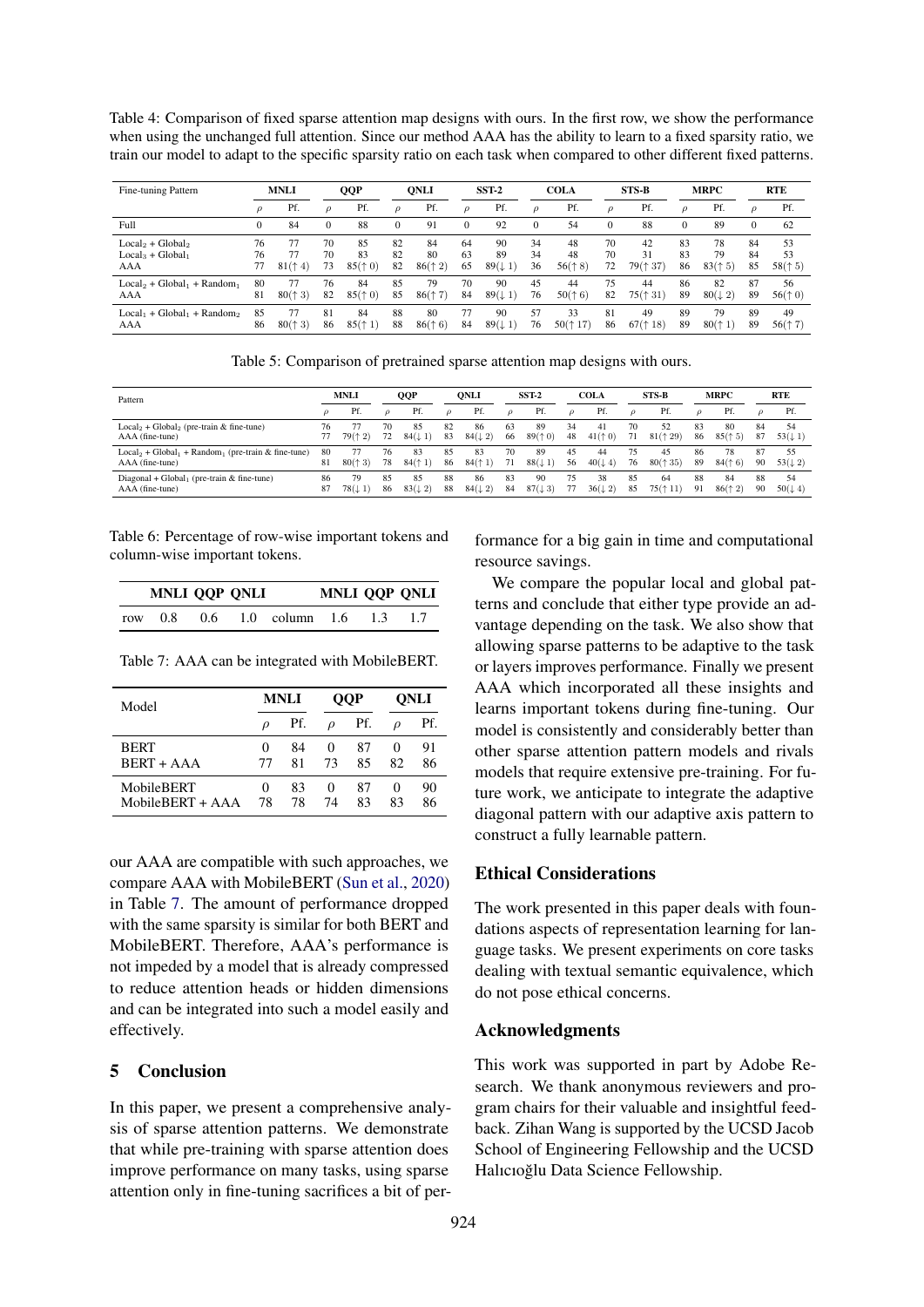<span id="page-8-0"></span>Table 4: Comparison of fixed sparse attention map designs with ours. In the first row, we show the performance when using the unchanged full attention. Since our method AAA has the ability to learn to a fixed sparsity ratio, we train our model to adapt to the specific sparsity ratio on each task when compared to other different fixed patterns.

| Fine-tuning Pattern                             | <b>MNLI</b> |                     | <b>QQP</b>     |                           | <b>ONLI</b>    |                           | SST <sub>2</sub> |                                | <b>COLA</b>    |                            | <b>STS B</b>   |                      | <b>MRPC</b>    |                                         | <b>RTE</b>     |                           |
|-------------------------------------------------|-------------|---------------------|----------------|---------------------------|----------------|---------------------------|------------------|--------------------------------|----------------|----------------------------|----------------|----------------------|----------------|-----------------------------------------|----------------|---------------------------|
|                                                 | ρ           | Pf.                 | $\mathcal{O}$  | Pf.                       | $\mathcal{O}$  | Pf.                       | $\rho$           | Pf.                            | $\mathcal{D}$  | Pf.                        | $\mathcal{D}$  | Pf.                  | $\mathcal{D}$  | Pf.                                     | $\mathcal{D}$  | Pf.                       |
| Full                                            | $\Omega$    | 84                  | $\Omega$       | 88                        | $\mathbf{0}$   | 91                        | 0                | 92                             | $\Omega$       | 54                         | $\Omega$       | 88                   |                | 89                                      | $\mathbf{0}$   | 62                        |
| $Local2 + Global2$<br>$Local3 + Global1$<br>AAA | 76<br>76    | 77<br>77<br>81(† 4) | 70<br>70<br>73 | 85<br>83<br>85(†0)        | 82<br>82<br>82 | 84<br>80<br>86(† 2)       | 64<br>63<br>65   | 90<br>89<br>$89(\downarrow 1)$ | 34<br>34<br>36 | 48<br>48<br>56(† 8)        | 70<br>70<br>72 | 42<br>31<br>79(† 37) | 83<br>83<br>86 | 78<br>79<br>83(† 5)                     | 84<br>84<br>85 | 53<br>53<br>58(† 5)       |
| $Local2 + Global1 + Random1$<br>AAA             | 80<br>81    | 77<br>800<br>(† 3)  | 76<br>82       | 84<br>85(†0)              | 85<br>85       | 79<br>$86($ $\uparrow$ 7) | 70<br>84         | 90<br>$89(\downarrow 1)$       | 45<br>76       | 44<br>50(† 6)              | 75<br>82       | 44<br>75(† 31)       | 86<br>89       | 82<br>$80(\downarrow 2)$                | 87<br>89       | 56<br>56(† 0)             |
| $Local_1 + Global_1 + Random_2$<br>AAA          | 85<br>86    | 77<br>80(† 3)       | 81<br>86       | 84<br>$85($ $\uparrow$ 1) | 88<br>88       | 80<br>86(† 6)             | 77<br>84         | 90<br>$89(\downarrow 1)$       | 57<br>76       | 33<br>$50($ $\uparrow$ 17) | 81<br>86       | 49<br>67(† 18)       | 89<br>89       | 79<br>$80($ <sup><math>+1)</math></sup> | 89<br>89       | 49<br>$56($ $\uparrow$ 7) |

Table 5: Comparison of pretrained sparse attention map designs with ours.

<span id="page-8-1"></span>

| Pattern                                                                     |          | <b>MNLI</b>  |          | QQP                      |               | <b>ONLI</b>              |               | SST-2                    |               | <b>COLA</b>              |               | <b>STS-B</b>               |               | <b>MRPC</b>   |          | <b>RTE</b>               |  |
|-----------------------------------------------------------------------------|----------|--------------|----------|--------------------------|---------------|--------------------------|---------------|--------------------------|---------------|--------------------------|---------------|----------------------------|---------------|---------------|----------|--------------------------|--|
|                                                                             |          | Pf.          |          | Pf.                      | $\mathcal{O}$ | Pf.                      | $\mathcal{O}$ | Pf.                      | $\mathcal{O}$ | Pf.                      | $\mathcal{O}$ | Pf.                        | $\mathcal{O}$ | Pf.           | $\Omega$ | Pf.                      |  |
| $Local2 + Global2$ (pre-train & fine-tune)<br>AAA (fine-tune)               | 76       | 79(† 2)      | 70<br>72 | 85<br>$84(\downarrow 1)$ | 82<br>83      | 86<br>$84(\downarrow 2)$ | 63<br>66      | 89<br>89(† 0)            | 34<br>48      | 4ì<br>41(† 0)            | 70<br>71      | 52<br>$81($ $\uparrow$ 29) | 83<br>86      | 80<br>85(† 5) | 84<br>87 | 54<br>$53(\downarrow 1)$ |  |
| $Local_2 + Global_1 + Random_1$ (pre-train & fine-tune)<br>AAA (fine-tune)  | 80<br>81 | 80(† 3)      | 76<br>78 | 83<br>84(1)              | 85<br>86      | 83<br>84(† 1)            | 70<br>71      | 89<br>$88(\downarrow 1)$ | 45<br>56      | 44<br>$40(\downarrow 4)$ | 75<br>76      | 45<br>$80($ $\uparrow$ 35) | 86<br>89      | 78<br>84(† 6) | 87<br>90 | 55<br>$53(\downarrow 2)$ |  |
| Diagonal + Global <sub>1</sub> (pre-train $&$ fine-tune)<br>AAA (fine-tune) | 86<br>87 | 79<br>78(11) | 85<br>86 | 85<br>$83(\downarrow 2)$ | 88<br>88      | 86<br>$84(\downarrow 2)$ | 83<br>84      | 90<br>$87(\downarrow 3)$ | 75.<br>77     | 38<br>$36(\downarrow 2)$ | 85<br>85      | 64<br>$75($ $\uparrow$ 11) | 88<br>91      | 84<br>86(12)  | 88<br>90 | 54<br>$50(\downarrow 4)$ |  |

<span id="page-8-3"></span>Table 6: Percentage of row-wise important tokens and column-wise important tokens.

|     | MNLI QQP QNLI |               |                    | <b>MNLI QQP QNLI</b> |     |  |
|-----|---------------|---------------|--------------------|----------------------|-----|--|
| row | 0.8           | $0.6^{\circ}$ | $1.0$ column $1.6$ |                      | 1.3 |  |

<span id="page-8-2"></span>Table 7: AAA can be integrated with MobileBERT.

| Model              |                   | MNLI |               | OOP | ONLI     |     |  |
|--------------------|-------------------|------|---------------|-----|----------|-----|--|
|                    | $\mathcal{D}$     | Pf.  | $\mathcal{D}$ | Pf. | D        | Pf. |  |
| <b>BERT</b>        | $\mathbf{0}$      | 84   | $^{(1)}$      | 87  | $\theta$ | 91  |  |
| BERT + AAA         | 77                | 81   | 73            | 85  | 82       | 86  |  |
| MobileBERT         | $\mathbf{\Omega}$ | 83   | $\theta$      | 87  | $\theta$ | 90  |  |
| $MohileBERT + AAA$ | 78                | 78   | 74            | 83  | 83       | 86  |  |

our AAA are compatible with such approaches, we compare AAA with MobileBERT [\(Sun et al.,](#page-9-12) [2020\)](#page-9-12) in Table [7.](#page-8-2) The amount of performance dropped with the same sparsity is similar for both BERT and MobileBERT. Therefore, AAA's performance is not impeded by a model that is already compressed to reduce attention heads or hidden dimensions and can be integrated into such a model easily and effectively.

### 5 Conclusion

In this paper, we present a comprehensive analysis of sparse attention patterns. We demonstrate that while pre-training with sparse attention does improve performance on many tasks, using sparse attention only in fine-tuning sacrifices a bit of performance for a big gain in time and computational resource savings.

We compare the popular local and global patterns and conclude that either type provide an advantage depending on the task. We also show that allowing sparse patterns to be adaptive to the task or layers improves performance. Finally we present AAA which incorporated all these insights and learns important tokens during fine-tuning. Our model is consistently and considerably better than other sparse attention pattern models and rivals models that require extensive pre-training. For future work, we anticipate to integrate the adaptive diagonal pattern with our adaptive axis pattern to construct a fully learnable pattern.

### Ethical Considerations

The work presented in this paper deals with foundations aspects of representation learning for language tasks. We present experiments on core tasks dealing with textual semantic equivalence, which do not pose ethical concerns.

### Acknowledgments

This work was supported in part by Adobe Research. We thank anonymous reviewers and program chairs for their valuable and insightful feedback. Zihan Wang is supported by the UCSD Jacob School of Engineering Fellowship and the UCSD Halıcıoğlu Data Science Fellowship.